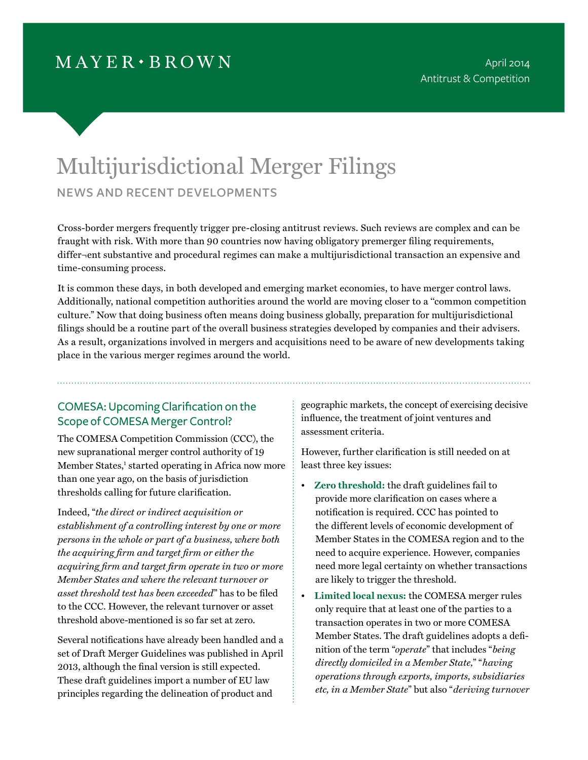## $MAYER \cdot BROWN$

# Multijurisdictional Merger Filings news and recent developments

Cross-border mergers frequently trigger pre-closing antitrust reviews. Such reviews are complex and can be fraught with risk. With more than 90 countries now having obligatory premerger filing requirements, differ¬ent substantive and procedural regimes can make a multijurisdictional transaction an expensive and time-consuming process.

It is common these days, in both developed and emerging market economies, to have merger control laws. Additionally, national competition authorities around the world are moving closer to a ''common competition culture." Now that doing business often means doing business globally, preparation for multijurisdictional filings should be a routine part of the overall business strategies developed by companies and their advisers. As a result, organizations involved in mergers and acquisitions need to be aware of new developments taking place in the various merger regimes around the world.

## COMESA: Upcoming Clarification on the Scope of COMESA Merger Control?

The COMESA Competition Commission (CCC), the new supranational merger control authority of 19 Member States,<sup>1</sup> started operating in Africa now more than one year ago, on the basis of jurisdiction thresholds calling for future clarification.

Indeed, "*the direct or indirect acquisition or establishment of a controlling interest by one or more persons in the whole or part of a business, where both the acquiring firm and target firm or either the acquiring firm and target firm operate in two or more Member States and where the relevant turnover or asset threshold test has been exceeded*" has to be filed to the CCC. However, the relevant turnover or asset threshold above-mentioned is so far set at zero.

Several notifications have already been handled and a set of Draft Merger Guidelines was published in April 2013, although the final version is still expected. These draft guidelines import a number of EU law principles regarding the delineation of product and

geographic markets, the concept of exercising decisive influence, the treatment of joint ventures and assessment criteria.

However, further clarification is still needed on at least three key issues:

- **Zero threshold:** the draft guidelines fail to provide more clarification on cases where a notification is required. CCC has pointed to the different levels of economic development of Member States in the COMESA region and to the need to acquire experience. However, companies need more legal certainty on whether transactions are likely to trigger the threshold.
- **Limited local nexus:** the COMESA merger rules only require that at least one of the parties to a transaction operates in two or more COMESA Member States. The draft guidelines adopts a definition of the term "*operate*" that includes "*being directly domiciled in a Member State,*" "*having operations through exports, imports, subsidiaries etc, in a Member State*" but also "*deriving turnover*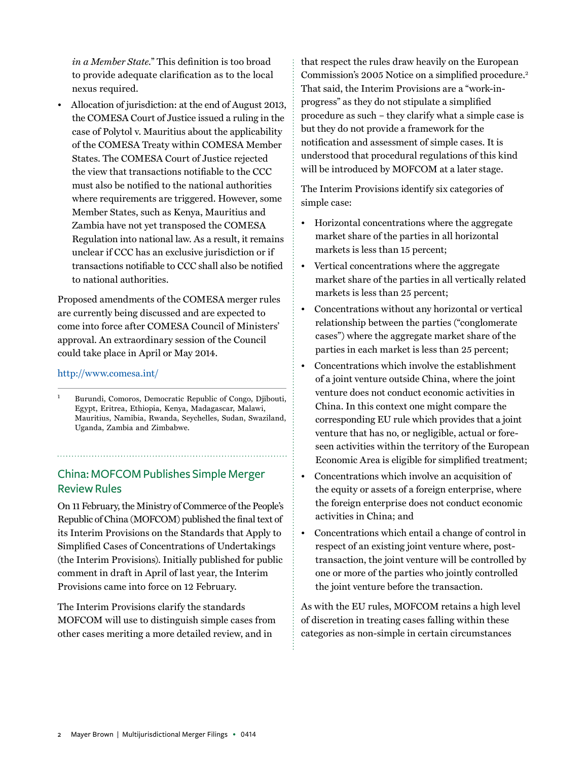*in a Member State.*" This definition is too broad to provide adequate clarification as to the local nexus required.

• Allocation of jurisdiction: at the end of August 2013, the COMESA Court of Justice issued a ruling in the case of Polytol v. Mauritius about the applicability of the COMESA Treaty within COMESA Member States. The COMESA Court of Justice rejected the view that transactions notifiable to the CCC must also be notified to the national authorities where requirements are triggered. However, some Member States, such as Kenya, Mauritius and Zambia have not yet transposed the COMESA Regulation into national law. As a result, it remains unclear if CCC has an exclusive jurisdiction or if transactions notifiable to CCC shall also be notified to national authorities.

Proposed amendments of the COMESA merger rules are currently being discussed and are expected to come into force after COMESA Council of Ministers' approval. An extraordinary session of the Council could take place in April or May 2014.

#### <http://www.comesa.int/>

<sup>1</sup> Burundi, Comoros, Democratic Republic of Congo, Djibouti, Egypt, Eritrea, Ethiopia, Kenya, Madagascar, Malawi, Mauritius, Namibia, Rwanda, Seychelles, Sudan, Swaziland, Uganda, Zambia and Zimbabwe.

### China: MOFCOM Publishes Simple Merger Review Rules

On 11 February, the Ministry of Commerce of the People's Republic of China (MOFCOM) published the final text of its Interim Provisions on the Standards that Apply to Simplified Cases of Concentrations of Undertakings (the Interim Provisions). Initially published for public comment in draft in April of last year, the Interim Provisions came into force on 12 February.

The Interim Provisions clarify the standards MOFCOM will use to distinguish simple cases from other cases meriting a more detailed review, and in

that respect the rules draw heavily on the European Commission's 2005 Notice on a simplified procedure.<sup>2</sup> That said, the Interim Provisions are a "work-inprogress" as they do not stipulate a simplified procedure as such – they clarify what a simple case is but they do not provide a framework for the notification and assessment of simple cases. It is understood that procedural regulations of this kind will be introduced by MOFCOM at a later stage.

The Interim Provisions identify six categories of simple case:

- Horizontal concentrations where the aggregate market share of the parties in all horizontal markets is less than 15 percent;
- Vertical concentrations where the aggregate market share of the parties in all vertically related markets is less than 25 percent;
- Concentrations without any horizontal or vertical relationship between the parties ("conglomerate cases") where the aggregate market share of the parties in each market is less than 25 percent;
- Concentrations which involve the establishment of a joint venture outside China, where the joint venture does not conduct economic activities in China. In this context one might compare the corresponding EU rule which provides that a joint venture that has no, or negligible, actual or foreseen activities within the territory of the European Economic Area is eligible for simplified treatment;
- Concentrations which involve an acquisition of the equity or assets of a foreign enterprise, where the foreign enterprise does not conduct economic activities in China; and
- Concentrations which entail a change of control in respect of an existing joint venture where, posttransaction, the joint venture will be controlled by one or more of the parties who jointly controlled the joint venture before the transaction.

As with the EU rules, MOFCOM retains a high level of discretion in treating cases falling within these categories as non-simple in certain circumstances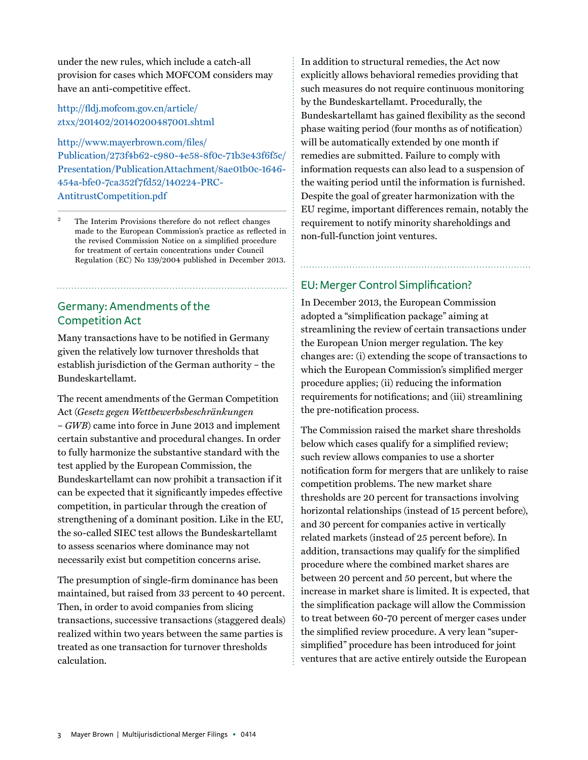under the new rules, which include a catch-all provision for cases which MOFCOM considers may have an anti-competitive effect.

#### [http://fldj.mofcom.gov.cn/article/](http://fldj.mofcom.gov.cn/article/ztxx/201402/20140200487001.shtml) [ztxx/201402/20140200487001.shtml](http://fldj.mofcom.gov.cn/article/ztxx/201402/20140200487001.shtml)

[http://www.mayerbrown.com/files/](http://www.mayerbrown.com/files/Publication/273f4b62-c980-4e58-8f0c-71b3e43f6f5c/Presentation/PublicationAttachment/8ae01b0c-1646-454a-bfe0-7ca352f7fd52/140224-PRC-AntitrustCompetition.pdf) [Publication/273f4b62-c980-4e58-8f0c-71b3e43f6f5c/](http://www.mayerbrown.com/files/Publication/273f4b62-c980-4e58-8f0c-71b3e43f6f5c/Presentation/PublicationAttachment/8ae01b0c-1646-454a-bfe0-7ca352f7fd52/140224-PRC-AntitrustCompetition.pdf) [Presentation/PublicationAttachment/8ae01b0c-1646-](http://www.mayerbrown.com/files/Publication/273f4b62-c980-4e58-8f0c-71b3e43f6f5c/Presentation/PublicationAttachment/8ae01b0c-1646-454a-bfe0-7ca352f7fd52/140224-PRC-AntitrustCompetition.pdf) [454a-bfe0-7ca352f7fd52/140224-PRC-](http://www.mayerbrown.com/files/Publication/273f4b62-c980-4e58-8f0c-71b3e43f6f5c/Presentation/PublicationAttachment/8ae01b0c-1646-454a-bfe0-7ca352f7fd52/140224-PRC-AntitrustCompetition.pdf)[AntitrustCompetition.pdf](http://www.mayerbrown.com/files/Publication/273f4b62-c980-4e58-8f0c-71b3e43f6f5c/Presentation/PublicationAttachment/8ae01b0c-1646-454a-bfe0-7ca352f7fd52/140224-PRC-AntitrustCompetition.pdf)

The Interim Provisions therefore do not reflect changes made to the European Commission's practice as reflected in the revised Commission Notice on a simplified procedure for treatment of certain concentrations under Council Regulation (EC) No 139/2004 published in December 2013.

## Germany: Amendments of the Competition Act

Many transactions have to be notified in Germany given the relatively low turnover thresholds that establish jurisdiction of the German authority – the Bundeskartellamt.

The recent amendments of the German Competition Act (*Gesetz gegen Wettbewerbsbeschränkungen* – *GWB*) came into force in June 2013 and implement certain substantive and procedural changes. In order to fully harmonize the substantive standard with the test applied by the European Commission, the Bundeskartellamt can now prohibit a transaction if it can be expected that it significantly impedes effective competition, in particular through the creation of strengthening of a dominant position. Like in the EU, the so-called SIEC test allows the Bundeskartellamt to assess scenarios where dominance may not necessarily exist but competition concerns arise.

The presumption of single-firm dominance has been maintained, but raised from 33 percent to 40 percent. Then, in order to avoid companies from slicing transactions, successive transactions (staggered deals) realized within two years between the same parties is treated as one transaction for turnover thresholds calculation.

In addition to structural remedies, the Act now explicitly allows behavioral remedies providing that such measures do not require continuous monitoring by the Bundeskartellamt. Procedurally, the Bundeskartellamt has gained flexibility as the second phase waiting period (four months as of notification) will be automatically extended by one month if remedies are submitted. Failure to comply with information requests can also lead to a suspension of the waiting period until the information is furnished. Despite the goal of greater harmonization with the EU regime, important differences remain, notably the requirement to notify minority shareholdings and non-full-function joint ventures.

#### EU: Merger Control Simplification?

In December 2013, the European Commission adopted a "simplification package" aiming at streamlining the review of certain transactions under the European Union merger regulation. The key changes are: (i) extending the scope of transactions to which the European Commission's simplified merger procedure applies; (ii) reducing the information requirements for notifications; and (iii) streamlining the pre-notification process.

The Commission raised the market share thresholds below which cases qualify for a simplified review; such review allows companies to use a shorter notification form for mergers that are unlikely to raise competition problems. The new market share thresholds are 20 percent for transactions involving horizontal relationships (instead of 15 percent before), and 30 percent for companies active in vertically related markets (instead of 25 percent before). In addition, transactions may qualify for the simplified procedure where the combined market shares are between 20 percent and 50 percent, but where the increase in market share is limited. It is expected, that the simplification package will allow the Commission to treat between 60-70 percent of merger cases under the simplified review procedure. A very lean "supersimplified" procedure has been introduced for joint ventures that are active entirely outside the European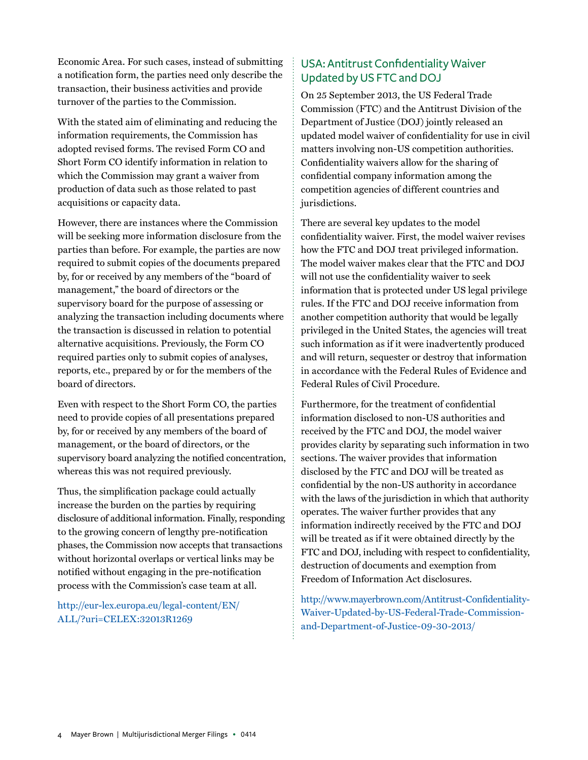Economic Area. For such cases, instead of submitting a notification form, the parties need only describe the transaction, their business activities and provide turnover of the parties to the Commission.

With the stated aim of eliminating and reducing the information requirements, the Commission has adopted revised forms. The revised Form CO and Short Form CO identify information in relation to which the Commission may grant a waiver from production of data such as those related to past acquisitions or capacity data.

However, there are instances where the Commission will be seeking more information disclosure from the parties than before. For example, the parties are now required to submit copies of the documents prepared by, for or received by any members of the "board of management," the board of directors or the supervisory board for the purpose of assessing or analyzing the transaction including documents where the transaction is discussed in relation to potential alternative acquisitions. Previously, the Form CO required parties only to submit copies of analyses, reports, etc., prepared by or for the members of the board of directors.

Even with respect to the Short Form CO, the parties need to provide copies of all presentations prepared by, for or received by any members of the board of management, or the board of directors, or the supervisory board analyzing the notified concentration, whereas this was not required previously.

Thus, the simplification package could actually increase the burden on the parties by requiring disclosure of additional information. Finally, responding to the growing concern of lengthy pre-notification phases, the Commission now accepts that transactions without horizontal overlaps or vertical links may be notified without engaging in the pre-notification process with the Commission's case team at all.

[http://eur-lex.europa.eu/legal-content/EN/](http://eur-lex.europa.eu/legal-content/EN/ALL/?uri=CELEX:32013R1269) [ALL/?uri=CELEX:32013R1269](http://eur-lex.europa.eu/legal-content/EN/ALL/?uri=CELEX:32013R1269)

## USA: Antitrust Confidentiality Waiver Updated by US FTC and DOJ

On 25 September 2013, the US Federal Trade Commission (FTC) and the Antitrust Division of the Department of Justice (DOJ) jointly released an updated model waiver of confidentiality for use in civil matters involving non-US competition authorities. Confidentiality waivers allow for the sharing of confidential company information among the competition agencies of different countries and jurisdictions.

There are several key updates to the model confidentiality waiver. First, the model waiver revises how the FTC and DOJ treat privileged information. The model waiver makes clear that the FTC and DOJ will not use the confidentiality waiver to seek information that is protected under US legal privilege rules. If the FTC and DOJ receive information from another competition authority that would be legally privileged in the United States, the agencies will treat such information as if it were inadvertently produced and will return, sequester or destroy that information in accordance with the Federal Rules of Evidence and Federal Rules of Civil Procedure.

Furthermore, for the treatment of confidential information disclosed to non-US authorities and received by the FTC and DOJ, the model waiver provides clarity by separating such information in two sections. The waiver provides that information disclosed by the FTC and DOJ will be treated as confidential by the non-US authority in accordance with the laws of the jurisdiction in which that authority operates. The waiver further provides that any information indirectly received by the FTC and DOJ will be treated as if it were obtained directly by the FTC and DOJ, including with respect to confidentiality, destruction of documents and exemption from Freedom of Information Act disclosures.

[http://www.mayerbrown.com/Antitrust-Confidentiality-](http://www.mayerbrown.com/Antitrust-Confidentiality-Waiver-Updated-by-US-Federal-Trade-Commission-and-Department-of-Justice-09-30-2013/)[Waiver-Updated-by-US-Federal-Trade-Commission](http://www.mayerbrown.com/Antitrust-Confidentiality-Waiver-Updated-by-US-Federal-Trade-Commission-and-Department-of-Justice-09-30-2013/)[and-Department-of-Justice-09-30-2013/](http://www.mayerbrown.com/Antitrust-Confidentiality-Waiver-Updated-by-US-Federal-Trade-Commission-and-Department-of-Justice-09-30-2013/)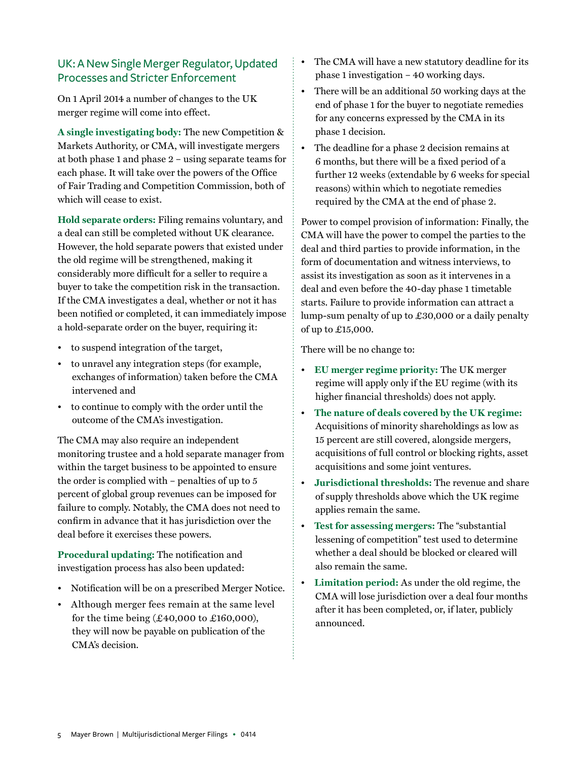## UK: A New Single Merger Regulator, Updated Processes and Stricter Enforcement

On 1 April 2014 a number of changes to the UK merger regime will come into effect.

**A single investigating body:** The new Competition & Markets Authority, or CMA, will investigate mergers at both phase 1 and phase 2 – using separate teams for each phase. It will take over the powers of the Office of Fair Trading and Competition Commission, both of which will cease to exist.

**Hold separate orders:** Filing remains voluntary, and a deal can still be completed without UK clearance. However, the hold separate powers that existed under the old regime will be strengthened, making it considerably more difficult for a seller to require a buyer to take the competition risk in the transaction. If the CMA investigates a deal, whether or not it has been notified or completed, it can immediately impose a hold-separate order on the buyer, requiring it:

- to suspend integration of the target,
- to unravel any integration steps (for example, exchanges of information) taken before the CMA intervened and
- to continue to comply with the order until the outcome of the CMA's investigation.

The CMA may also require an independent monitoring trustee and a hold separate manager from within the target business to be appointed to ensure the order is complied with – penalties of up to 5 percent of global group revenues can be imposed for failure to comply. Notably, the CMA does not need to confirm in advance that it has jurisdiction over the deal before it exercises these powers.

**Procedural updating:** The notification and investigation process has also been updated:

- Notification will be on a prescribed Merger Notice.
- Although merger fees remain at the same level for the time being  $(\pounds 40,000 \text{ to } \pounds 160,000)$ , they will now be payable on publication of the CMA's decision.
- The CMA will have a new statutory deadline for its phase 1 investigation – 40 working days.
- There will be an additional 50 working days at the end of phase 1 for the buyer to negotiate remedies for any concerns expressed by the CMA in its phase 1 decision.
- The deadline for a phase 2 decision remains at 6 months, but there will be a fixed period of a further 12 weeks (extendable by 6 weeks for special reasons) within which to negotiate remedies required by the CMA at the end of phase 2.

Power to compel provision of information: Finally, the CMA will have the power to compel the parties to the deal and third parties to provide information, in the form of documentation and witness interviews, to assist its investigation as soon as it intervenes in a deal and even before the 40-day phase 1 timetable starts. Failure to provide information can attract a lump-sum penalty of up to £30,000 or a daily penalty of up to £15,000.

There will be no change to:

- **EU merger regime priority:** The UK merger regime will apply only if the EU regime (with its higher financial thresholds) does not apply.
- **The nature of deals covered by the UK regime:** Acquisitions of minority shareholdings as low as 15 percent are still covered, alongside mergers, acquisitions of full control or blocking rights, asset acquisitions and some joint ventures.
- **Jurisdictional thresholds:** The revenue and share of supply thresholds above which the UK regime applies remain the same.
- **Test for assessing mergers:** The "substantial lessening of competition" test used to determine whether a deal should be blocked or cleared will also remain the same.
- **Limitation period:** As under the old regime, the CMA will lose jurisdiction over a deal four months after it has been completed, or, if later, publicly announced.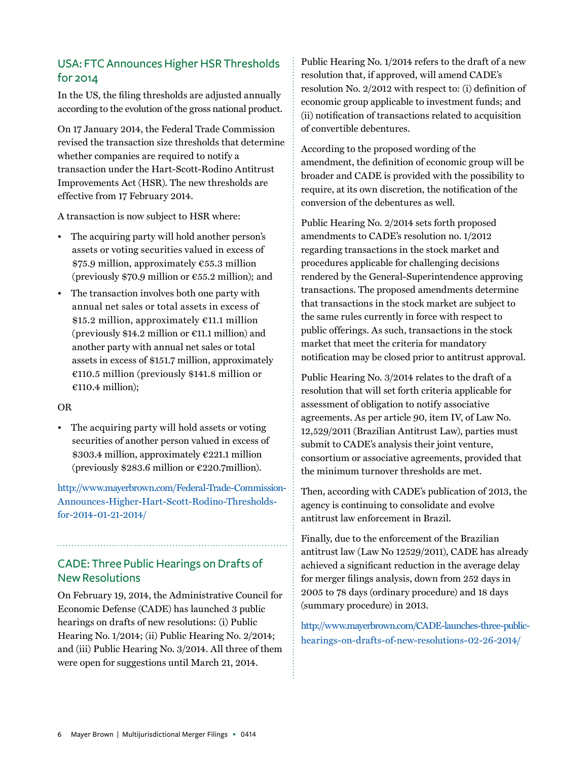## USA: FTC Announces Higher HSR Thresholds for 2014

In the US, the filing thresholds are adjusted annually according to the evolution of the gross national product.

On 17 January 2014, the Federal Trade Commission revised the transaction size thresholds that determine whether companies are required to notify a transaction under the Hart-Scott-Rodino Antitrust Improvements Act (HSR). The new thresholds are effective from 17 February 2014.

A transaction is now subject to HSR where:

- The acquiring party will hold another person's assets or voting securities valued in excess of \$75.9 million, approximately €55.3 million (previously \$70.9 million or  $\epsilon$ 55.2 million); and
- The transaction involves both one party with annual net sales or total assets in excess of \$15.2 million, approximately €11.1 million (previously \$14.2 million or  $E11.1$  million) and another party with annual net sales or total assets in excess of \$151.7 million, approximately €110.5 million (previously \$141.8 million or €110.4 million);

#### OR

• The acquiring party will hold assets or voting securities of another person valued in excess of \$303.4 million, approximately €221.1 million (previously \$283.6 million or  $\epsilon$ 220.7 million).

[http://www.mayerbrown.com/Federal-Trade-Commission-](http://www.mayerbrown.com/Federal-Trade-Commission-Announces-Higher-Hart-Scott-Rodino-Thresholds-for-2014-01-21-2014/)[Announces-Higher-Hart-Scott-Rodino-Thresholds](http://www.mayerbrown.com/Federal-Trade-Commission-Announces-Higher-Hart-Scott-Rodino-Thresholds-for-2014-01-21-2014/)[for-2014-01-21-2014/](http://www.mayerbrown.com/Federal-Trade-Commission-Announces-Higher-Hart-Scott-Rodino-Thresholds-for-2014-01-21-2014/)

## CADE: Three Public Hearings on Drafts of New Resolutions

On February 19, 2014, the Administrative Council for Economic Defense (CADE) has launched 3 public hearings on drafts of new resolutions: (i) Public Hearing No. 1/2014; (ii) Public Hearing No. 2/2014; and (iii) Public Hearing No. 3/2014. All three of them were open for suggestions until March 21, 2014.

Public Hearing No. 1/2014 refers to the draft of a new resolution that, if approved, will amend CADE's resolution No. 2/2012 with respect to: (i) definition of economic group applicable to investment funds; and (ii) notification of transactions related to acquisition of convertible debentures.

According to the proposed wording of the amendment, the definition of economic group will be broader and CADE is provided with the possibility to require, at its own discretion, the notification of the conversion of the debentures as well.

Public Hearing No. 2/2014 sets forth proposed amendments to CADE's resolution no. 1/2012 regarding transactions in the stock market and procedures applicable for challenging decisions rendered by the General-Superintendence approving transactions. The proposed amendments determine that transactions in the stock market are subject to the same rules currently in force with respect to public offerings. As such, transactions in the stock market that meet the criteria for mandatory notification may be closed prior to antitrust approval.

Public Hearing No. 3/2014 relates to the draft of a resolution that will set forth criteria applicable for assessment of obligation to notify associative agreements. As per article 90, item IV, of Law No. 12,529/2011 (Brazilian Antitrust Law), parties must submit to CADE's analysis their joint venture, consortium or associative agreements, provided that the minimum turnover thresholds are met.

Then, according with CADE's publication of 2013, the agency is continuing to consolidate and evolve antitrust law enforcement in Brazil.

Finally, due to the enforcement of the Brazilian antitrust law (Law No 12529/2011), CADE has already achieved a significant reduction in the average delay for merger filings analysis, down from 252 days in 2005 to 78 days (ordinary procedure) and 18 days (summary procedure) in 2013.

[http://www.mayerbrown.com/CADE-launches-three-public](http://www.mayerbrown.com/CADE-launches-three-public-hearings-on-drafts-of-new-resolutions-02-26-2014/)[hearings-on-drafts-of-new-resolutions-02-26-2014/](http://www.mayerbrown.com/CADE-launches-three-public-hearings-on-drafts-of-new-resolutions-02-26-2014/)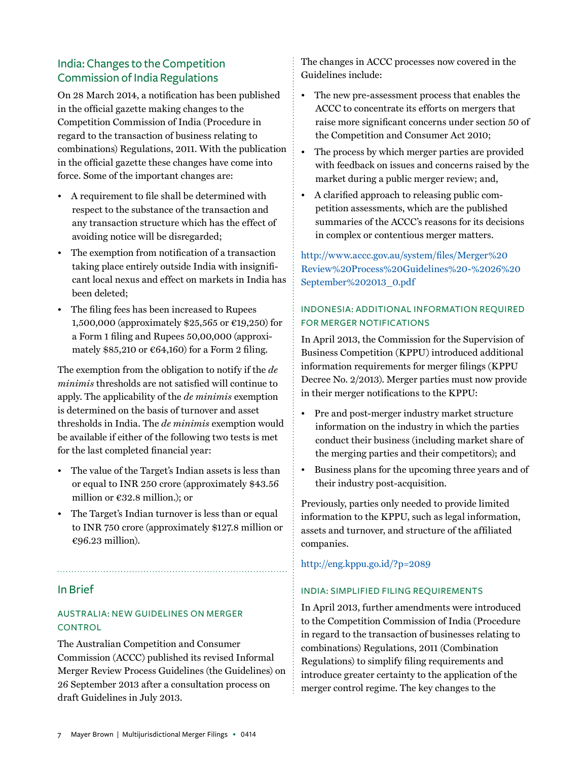## India: Changes to the Competition Commission of India Regulations

On 28 March 2014, a notification has been published in the official gazette making changes to the Competition Commission of India (Procedure in regard to the transaction of business relating to combinations) Regulations, 2011. With the publication in the official gazette these changes have come into force. Some of the important changes are:

- A requirement to file shall be determined with respect to the substance of the transaction and any transaction structure which has the effect of avoiding notice will be disregarded;
- The exemption from notification of a transaction taking place entirely outside India with insignificant local nexus and effect on markets in India has been deleted;
- The filing fees has been increased to Rupees 1,500,000 (approximately \$25,565 or €19,250) for a Form 1 filing and Rupees 50,00,000 (approximately \$85,210 or  $\epsilon$ 64,160) for a Form 2 filing.

The exemption from the obligation to notify if the *de minimis* thresholds are not satisfied will continue to apply. The applicability of the *de minimis* exemption is determined on the basis of turnover and asset thresholds in India. The *de minimis* exemption would be available if either of the following two tests is met for the last completed financial year:

- The value of the Target's Indian assets is less than or equal to INR 250 crore (approximately \$43.56 million or €32.8 million.); or
- The Target's Indian turnover is less than or equal to INR 750 crore (approximately \$127.8 million or €96.23 million).

#### In Brief

#### Australia: New Guidelines on Merger **CONTROL**

The Australian Competition and Consumer Commission (ACCC) published its revised Informal Merger Review Process Guidelines (the Guidelines) on 26 September 2013 after a consultation process on draft Guidelines in July 2013.

The changes in ACCC processes now covered in the Guidelines include:

- The new pre-assessment process that enables the ACCC to concentrate its efforts on mergers that raise more significant concerns under section 50 of the Competition and Consumer Act 2010;
- The process by which merger parties are provided with feedback on issues and concerns raised by the market during a public merger review; and,
- A clarified approach to releasing public competition assessments, which are the published summaries of the ACCC's reasons for its decisions in complex or contentious merger matters.

#### [http://www.accc.gov.au/system/files/Merger%20](http://www.accc.gov.au/system/files/Merger%20Review%20Process%20Guidelines%20-%2026%20September%202013_0.pdf) [Review%20Process%20Guidelines%20-%2026%20](http://www.accc.gov.au/system/files/Merger%20Review%20Process%20Guidelines%20-%2026%20September%202013_0.pdf) [September%202013\\_0.pdf](http://www.accc.gov.au/system/files/Merger%20Review%20Process%20Guidelines%20-%2026%20September%202013_0.pdf)

#### INDONESIA: Additional information required for merger notifications

In April 2013, the Commission for the Supervision of Business Competition (KPPU) introduced additional information requirements for merger filings (KPPU Decree No. 2/2013). Merger parties must now provide in their merger notifications to the KPPU:

- Pre and post-merger industry market structure information on the industry in which the parties conduct their business (including market share of the merging parties and their competitors); and
- Business plans for the upcoming three years and of their industry post-acquisition.

Previously, parties only needed to provide limited information to the KPPU, such as legal information, assets and turnover, and structure of the affiliated companies.

<http://eng.kppu.go.id/?p=2089>

#### INDIA: Simplified filing requirements

In April 2013, further amendments were introduced to the Competition Commission of India (Procedure in regard to the transaction of businesses relating to combinations) Regulations, 2011 (Combination Regulations) to simplify filing requirements and introduce greater certainty to the application of the merger control regime. The key changes to the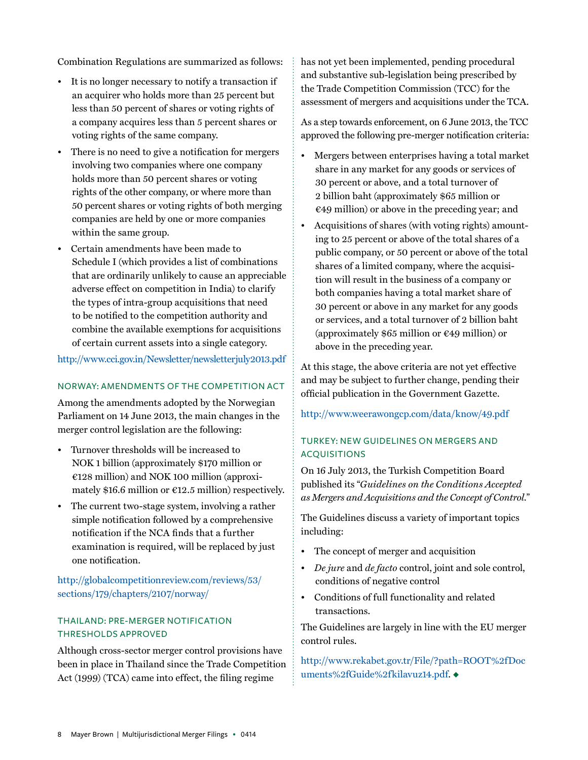Combination Regulations are summarized as follows:

- It is no longer necessary to notify a transaction if an acquirer who holds more than 25 percent but less than 50 percent of shares or voting rights of a company acquires less than 5 percent shares or voting rights of the same company.
- There is no need to give a notification for mergers involving two companies where one company holds more than 50 percent shares or voting rights of the other company, or where more than 50 percent shares or voting rights of both merging companies are held by one or more companies within the same group.
- Certain amendments have been made to Schedule I (which provides a list of combinations that are ordinarily unlikely to cause an appreciable adverse effect on competition in India) to clarify the types of intra-group acquisitions that need to be notified to the competition authority and combine the available exemptions for acquisitions of certain current assets into a single category.

<http://www.cci.gov.in/Newsletter/newsletterjuly2013.pdf>

#### NORWAY: Amendments of the Competition Act

Among the amendments adopted by the Norwegian Parliament on 14 June 2013, the main changes in the merger control legislation are the following:

- Turnover thresholds will be increased to NOK 1 billion (approximately \$170 million or €128 million) and NOK 100 million (approximately \$16.6 million or  $\epsilon$ 12.5 million) respectively.
- The current two-stage system, involving a rather simple notification followed by a comprehensive notification if the NCA finds that a further examination is required, will be replaced by just one notification.

[http://globalcompetitionreview.com/reviews/53/](http://globalcompetitionreview.com/reviews/53/sections/179/chapters/2107/norway/) [sections/179/chapters/2107/norway/](http://globalcompetitionreview.com/reviews/53/sections/179/chapters/2107/norway/)

#### THAILAND: Pre-merger notification thresholds approved

Although cross-sector merger control provisions have been in place in Thailand since the Trade Competition Act (1999) (TCA) came into effect, the filing regime

has not yet been implemented, pending procedural and substantive sub-legislation being prescribed by the Trade Competition Commission (TCC) for the assessment of mergers and acquisitions under the TCA.

As a step towards enforcement, on 6 June 2013, the TCC approved the following pre-merger notification criteria:

- Mergers between enterprises having a total market share in any market for any goods or services of 30 percent or above, and a total turnover of 2 billion baht (approximately \$65 million or  $\epsilon$ 49 million) or above in the preceding year; and
- Acquisitions of shares (with voting rights) amounting to 25 percent or above of the total shares of a public company, or 50 percent or above of the total shares of a limited company, where the acquisition will result in the business of a company or both companies having a total market share of 30 percent or above in any market for any goods or services, and a total turnover of 2 billion baht (approximately  $$65$  million or  $€49$  million) or above in the preceding year.

At this stage, the above criteria are not yet effective and may be subject to further change, pending their official publication in the Government Gazette.

<http://www.weerawongcp.com/data/know/49.pdf>

#### TURKEY: New Guidelines on mergers and acquisitions

On 16 July 2013, the Turkish Competition Board published its "*Guidelines on the Conditions Accepted as Mergers and Acquisitions and the Concept of Control.*"

The Guidelines discuss a variety of important topics including:

- The concept of merger and acquisition
- *De jure* and *de facto* control, joint and sole control, conditions of negative control
- Conditions of full functionality and related transactions.

The Guidelines are largely in line with the EU merger control rules.

[http://www.rekabet.gov.tr/File/?path=ROOT%2fDoc](http://www.rekabet.gov.tr/File/?path=ROOT%2fDocuments%2fGuide%2fkilavuz14.pdf) [uments%2fGuide%2fkilavuz14.pdf.](http://www.rekabet.gov.tr/File/?path=ROOT%2fDocuments%2fGuide%2fkilavuz14.pdf) ◆